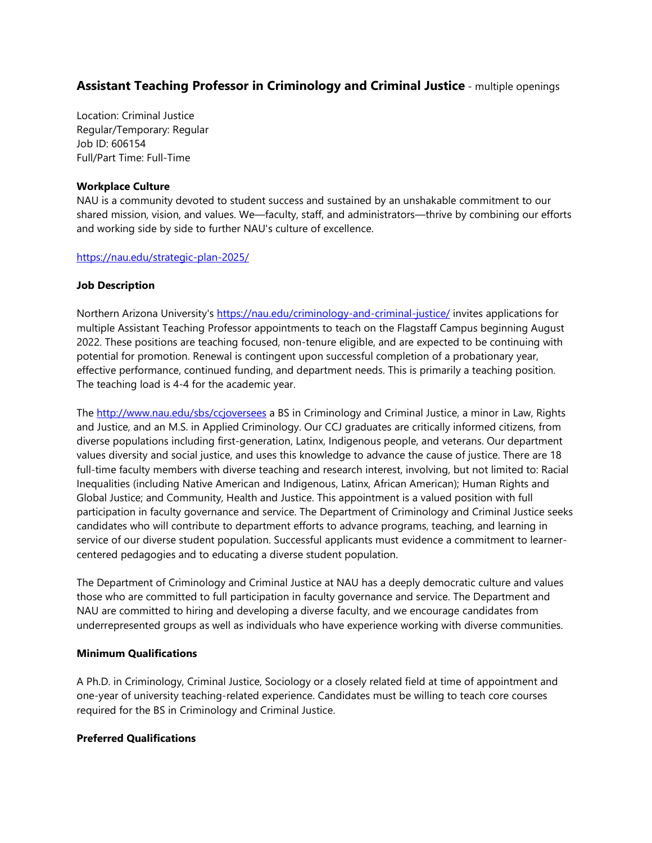# **Assistant Teaching Professor in Criminology and Criminal Justice** - multiple openings

Location: Criminal Justice Regular/Temporary: Regular Job ID: 606154 Full/Part Time: Full-Time

#### **Workplace Culture**

NAU is a community devoted to student success and sustained by an unshakable commitment to our shared mission, vision, and values. We—faculty, staff, and administrators—thrive by combining our efforts and working side by side to further NAU's culture of excellence.

#### <https://nau.edu/strategic-plan-2025/>

#### **Job Description**

Northern Arizona University's<https://nau.edu/criminology-and-criminal-justice/> invites applications for multiple Assistant Teaching Professor appointments to teach on the Flagstaff Campus beginning August 2022. These positions are teaching focused, non-tenure eligible, and are expected to be continuing with potential for promotion. Renewal is contingent upon successful completion of a probationary year, effective performance, continued funding, and department needs. This is primarily a teaching position. The teaching load is 4-4 for the academic year.

The<http://www.nau.edu/sbs/ccjoversees> a BS in Criminology and Criminal Justice, a minor in Law, Rights and Justice, and an M.S. in Applied Criminology. Our CCJ graduates are critically informed citizens, from diverse populations including first-generation, Latinx, Indigenous people, and veterans. Our department values diversity and social justice, and uses this knowledge to advance the cause of justice. There are 18 full-time faculty members with diverse teaching and research interest, involving, but not limited to: Racial Inequalities (including Native American and Indigenous, Latinx, African American); Human Rights and Global Justice; and Community, Health and Justice. This appointment is a valued position with full participation in faculty governance and service. The Department of Criminology and Criminal Justice seeks candidates who will contribute to department efforts to advance programs, teaching, and learning in service of our diverse student population. Successful applicants must evidence a commitment to learnercentered pedagogies and to educating a diverse student population.

The Department of Criminology and Criminal Justice at NAU has a deeply democratic culture and values those who are committed to full participation in faculty governance and service. The Department and NAU are committed to hiring and developing a diverse faculty, and we encourage candidates from underrepresented groups as well as individuals who have experience working with diverse communities.

#### **Minimum Qualifications**

A Ph.D. in Criminology, Criminal Justice, Sociology or a closely related field at time of appointment and one-year of university teaching-related experience. Candidates must be willing to teach core courses required for the BS in Criminology and Criminal Justice.

### **Preferred Qualifications**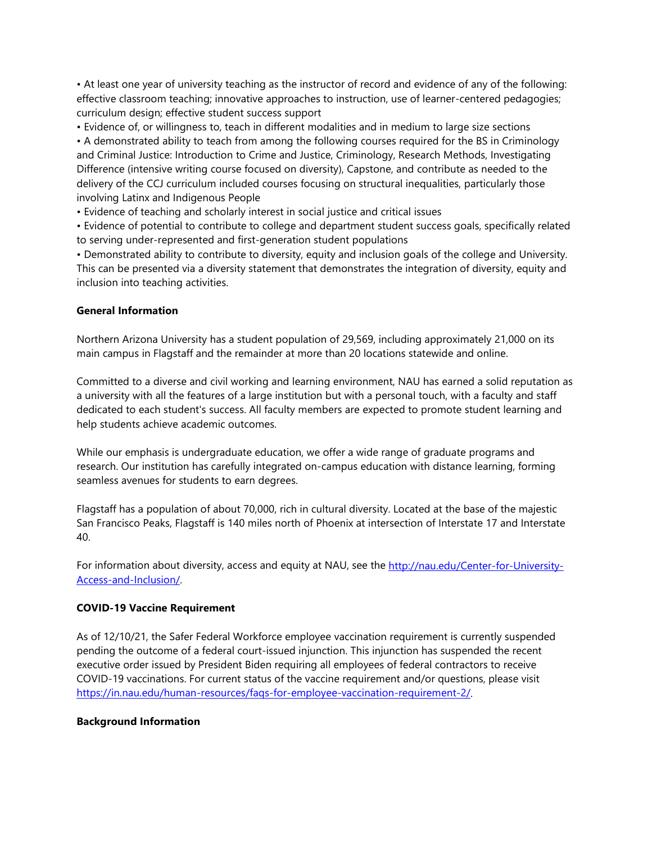• At least one year of university teaching as the instructor of record and evidence of any of the following: effective classroom teaching; innovative approaches to instruction, use of learner-centered pedagogies; curriculum design; effective student success support

• Evidence of, or willingness to, teach in different modalities and in medium to large size sections • A demonstrated ability to teach from among the following courses required for the BS in Criminology and Criminal Justice: Introduction to Crime and Justice, Criminology, Research Methods, Investigating Difference (intensive writing course focused on diversity), Capstone, and contribute as needed to the delivery of the CCJ curriculum included courses focusing on structural inequalities, particularly those involving Latinx and Indigenous People

• Evidence of teaching and scholarly interest in social justice and critical issues

• Evidence of potential to contribute to college and department student success goals, specifically related to serving under-represented and first-generation student populations

• Demonstrated ability to contribute to diversity, equity and inclusion goals of the college and University. This can be presented via a diversity statement that demonstrates the integration of diversity, equity and inclusion into teaching activities.

## **General Information**

Northern Arizona University has a student population of 29,569, including approximately 21,000 on its main campus in Flagstaff and the remainder at more than 20 locations statewide and online.

Committed to a diverse and civil working and learning environment, NAU has earned a solid reputation as a university with all the features of a large institution but with a personal touch, with a faculty and staff dedicated to each student's success. All faculty members are expected to promote student learning and help students achieve academic outcomes.

While our emphasis is undergraduate education, we offer a wide range of graduate programs and research. Our institution has carefully integrated on-campus education with distance learning, forming seamless avenues for students to earn degrees.

Flagstaff has a population of about 70,000, rich in cultural diversity. Located at the base of the majestic San Francisco Peaks, Flagstaff is 140 miles north of Phoenix at intersection of Interstate 17 and Interstate 40.

For information about diversity, access and equity at NAU, see the [http://nau.edu/Center-for-University-](http://nau.edu/Center-for-University-Access-and-Inclusion/)[Access-and-Inclusion/.](http://nau.edu/Center-for-University-Access-and-Inclusion/)

# **COVID-19 Vaccine Requirement**

As of 12/10/21, the Safer Federal Workforce employee vaccination requirement is currently suspended pending the outcome of a federal court-issued injunction. This injunction has suspended the recent executive order issued by President Biden requiring all employees of federal contractors to receive COVID-19 vaccinations. For current status of the vaccine requirement and/or questions, please visit [https://in.nau.edu/human-resources/faqs-for-employee-vaccination-requirement-2/.](https://in.nau.edu/human-resources/faqs-for-employee-vaccination-requirement-2/)

### **Background Information**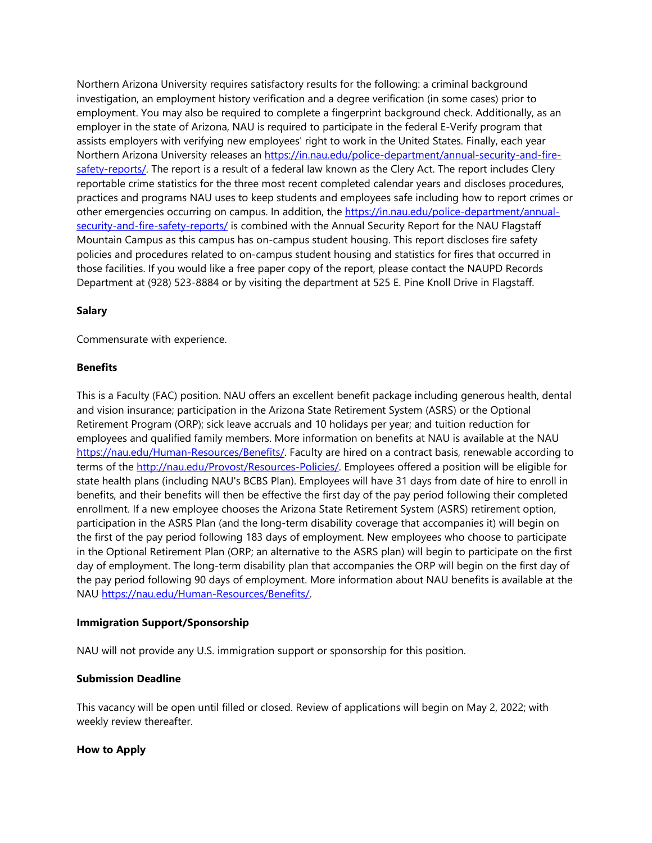Northern Arizona University requires satisfactory results for the following: a criminal background investigation, an employment history verification and a degree verification (in some cases) prior to employment. You may also be required to complete a fingerprint background check. Additionally, as an employer in the state of Arizona, NAU is required to participate in the federal E-Verify program that assists employers with verifying new employees' right to work in the United States. Finally, each year Northern Arizona University releases an [https://in.nau.edu/police-department/annual-security-and-fire](https://in.nau.edu/police-department/annual-security-and-fire-safety-reports/)[safety-reports/.](https://in.nau.edu/police-department/annual-security-and-fire-safety-reports/) The report is a result of a federal law known as the Clery Act. The report includes Clery reportable crime statistics for the three most recent completed calendar years and discloses procedures, practices and programs NAU uses to keep students and employees safe including how to report crimes or other emergencies occurring on campus. In addition, the [https://in.nau.edu/police-department/annual](https://in.nau.edu/police-department/annual-security-and-fire-safety-reports/)[security-and-fire-safety-reports/](https://in.nau.edu/police-department/annual-security-and-fire-safety-reports/) is combined with the Annual Security Report for the NAU Flagstaff Mountain Campus as this campus has on-campus student housing. This report discloses fire safety policies and procedures related to on-campus student housing and statistics for fires that occurred in those facilities. If you would like a free paper copy of the report, please contact the NAUPD Records Department at (928) 523-8884 or by visiting the department at 525 E. Pine Knoll Drive in Flagstaff.

### **Salary**

Commensurate with experience.

#### **Benefits**

This is a Faculty (FAC) position. NAU offers an excellent benefit package including generous health, dental and vision insurance; participation in the Arizona State Retirement System (ASRS) or the Optional Retirement Program (ORP); sick leave accruals and 10 holidays per year; and tuition reduction for employees and qualified family members. More information on benefits at NAU is available at the NAU [https://nau.edu/Human-Resources/Benefits/.](https://nau.edu/Human-Resources/Benefits/) Faculty are hired on a contract basis, renewable according to terms of the [http://nau.edu/Provost/Resources-Policies/.](http://nau.edu/Provost/Resources-Policies/) Employees offered a position will be eligible for state health plans (including NAU's BCBS Plan). Employees will have 31 days from date of hire to enroll in benefits, and their benefits will then be effective the first day of the pay period following their completed enrollment. If a new employee chooses the Arizona State Retirement System (ASRS) retirement option, participation in the ASRS Plan (and the long-term disability coverage that accompanies it) will begin on the first of the pay period following 183 days of employment. New employees who choose to participate in the Optional Retirement Plan (ORP; an alternative to the ASRS plan) will begin to participate on the first day of employment. The long-term disability plan that accompanies the ORP will begin on the first day of the pay period following 90 days of employment. More information about NAU benefits is available at the NAU [https://nau.edu/Human-Resources/Benefits/.](https://nau.edu/Human-Resources/Benefits/)

### **Immigration Support/Sponsorship**

NAU will not provide any U.S. immigration support or sponsorship for this position.

#### **Submission Deadline**

This vacancy will be open until filled or closed. Review of applications will begin on May 2, 2022; with weekly review thereafter.

### **How to Apply**